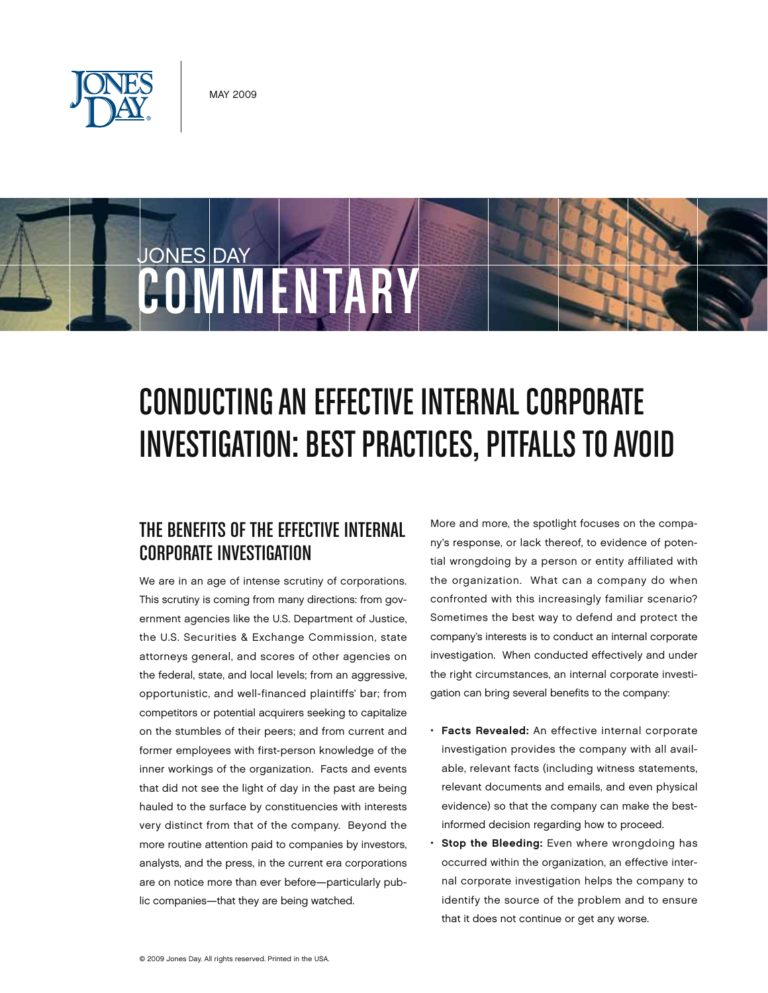

JONES DAY

# Conducting an Effective Internal Corporate INVESTIGATION: BEST PRACTICES, PITFALLS TO AVOID

## The Benefits of the Effective Internal Corporate Investigation

**COMMENTARY** 

We are in an age of intense scrutiny of corporations. This scrutiny is coming from many directions: from government agencies like the U.S. Department of Justice, the U.S. Securities & Exchange Commission, state attorneys general, and scores of other agencies on the federal, state, and local levels; from an aggressive, opportunistic, and well-financed plaintiffs' bar; from competitors or potential acquirers seeking to capitalize on the stumbles of their peers; and from current and former employees with first-person knowledge of the inner workings of the organization. Facts and events that did not see the light of day in the past are being hauled to the surface by constituencies with interests very distinct from that of the company. Beyond the more routine attention paid to companies by investors, analysts, and the press, in the current era corporations are on notice more than ever before—particularly public companies—that they are being watched.

More and more, the spotlight focuses on the company's response, or lack thereof, to evidence of potential wrongdoing by a person or entity affiliated with the organization. What can a company do when confronted with this increasingly familiar scenario? Sometimes the best way to defend and protect the company's interests is to conduct an internal corporate investigation. When conducted effectively and under the right circumstances, an internal corporate investigation can bring several benefits to the company:

- Facts Revealed: An effective internal corporate investigation provides the company with all available, relevant facts (including witness statements, relevant documents and emails, and even physical evidence) so that the company can make the bestinformed decision regarding how to proceed.
- Stop the Bleeding: Even where wrongdoing has occurred within the organization, an effective internal corporate investigation helps the company to identify the source of the problem and to ensure that it does not continue or get any worse.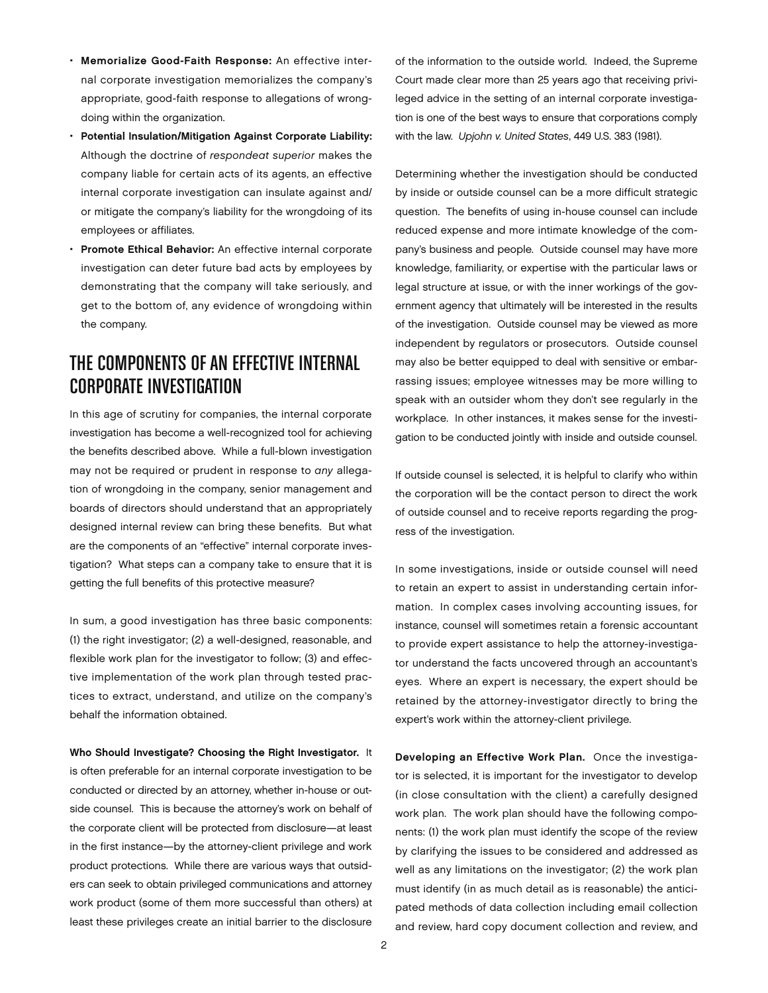- • Memorialize Good-Faith Response: An effective internal corporate investigation memorializes the company's appropriate, good-faith response to allegations of wrongdoing within the organization.
- Potential Insulation/Mitigation Against Corporate Liability: Although the doctrine of respondeat superior makes the company liable for certain acts of its agents, an effective internal corporate investigation can insulate against and/ or mitigate the company's liability for the wrongdoing of its employees or affiliates.
- Promote Ethical Behavior: An effective internal corporate investigation can deter future bad acts by employees by demonstrating that the company will take seriously, and get to the bottom of, any evidence of wrongdoing within the company.

### The Components of an Effective Internal Corporate Investigation

In this age of scrutiny for companies, the internal corporate investigation has become a well-recognized tool for achieving the benefits described above. While a full-blown investigation may not be required or prudent in response to any allegation of wrongdoing in the company, senior management and boards of directors should understand that an appropriately designed internal review can bring these benefits. But what are the components of an "effective" internal corporate investigation? What steps can a company take to ensure that it is getting the full benefits of this protective measure?

In sum, a good investigation has three basic components: (1) the right investigator; (2) a well-designed, reasonable, and flexible work plan for the investigator to follow; (3) and effective implementation of the work plan through tested practices to extract, understand, and utilize on the company's behalf the information obtained.

Who Should Investigate? Choosing the Right Investigator. It is often preferable for an internal corporate investigation to be conducted or directed by an attorney, whether in-house or outside counsel. This is because the attorney's work on behalf of the corporate client will be protected from disclosure—at least in the first instance—by the attorney-client privilege and work product protections. While there are various ways that outsiders can seek to obtain privileged communications and attorney work product (some of them more successful than others) at least these privileges create an initial barrier to the disclosure

of the information to the outside world. Indeed, the Supreme Court made clear more than 25 years ago that receiving privileged advice in the setting of an internal corporate investigation is one of the best ways to ensure that corporations comply with the law. Upjohn v. United States, 449 U.S. 383 (1981).

Determining whether the investigation should be conducted by inside or outside counsel can be a more difficult strategic question. The benefits of using in-house counsel can include reduced expense and more intimate knowledge of the company's business and people. Outside counsel may have more knowledge, familiarity, or expertise with the particular laws or legal structure at issue, or with the inner workings of the government agency that ultimately will be interested in the results of the investigation. Outside counsel may be viewed as more independent by regulators or prosecutors. Outside counsel may also be better equipped to deal with sensitive or embarrassing issues; employee witnesses may be more willing to speak with an outsider whom they don't see regularly in the workplace. In other instances, it makes sense for the investigation to be conducted jointly with inside and outside counsel.

If outside counsel is selected, it is helpful to clarify who within the corporation will be the contact person to direct the work of outside counsel and to receive reports regarding the progress of the investigation.

In some investigations, inside or outside counsel will need to retain an expert to assist in understanding certain information. In complex cases involving accounting issues, for instance, counsel will sometimes retain a forensic accountant to provide expert assistance to help the attorney-investigator understand the facts uncovered through an accountant's eyes. Where an expert is necessary, the expert should be retained by the attorney-investigator directly to bring the expert's work within the attorney-client privilege.

Developing an Effective Work Plan. Once the investigator is selected, it is important for the investigator to develop (in close consultation with the client) a carefully designed work plan. The work plan should have the following components: (1) the work plan must identify the scope of the review by clarifying the issues to be considered and addressed as well as any limitations on the investigator; (2) the work plan must identify (in as much detail as is reasonable) the anticipated methods of data collection including email collection and review, hard copy document collection and review, and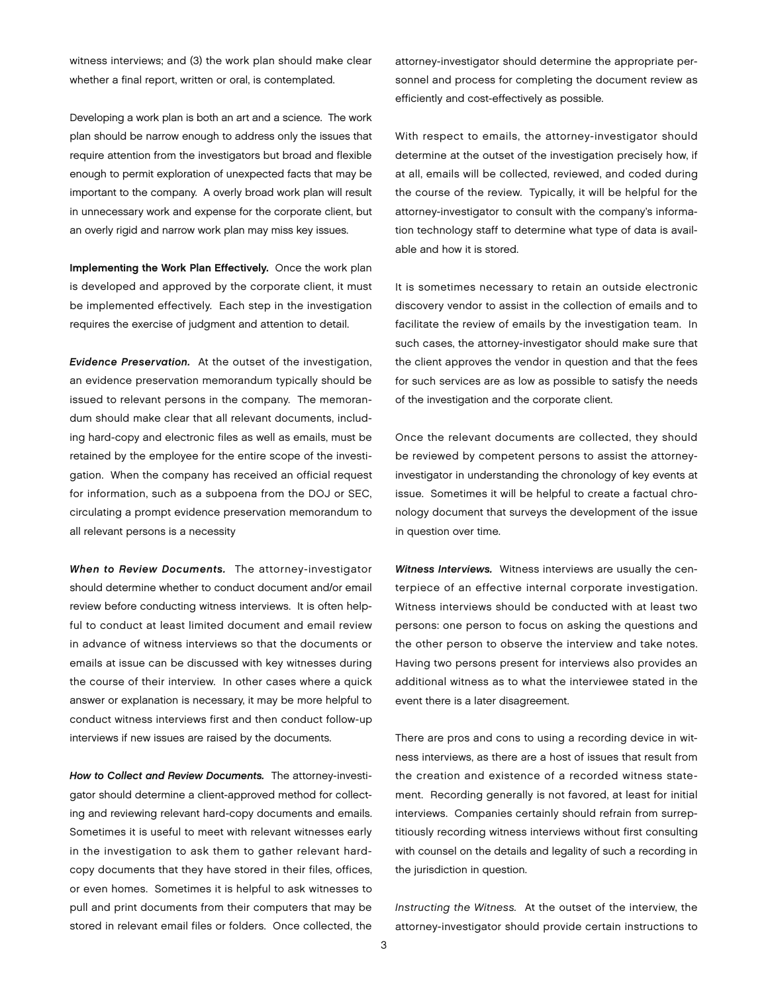witness interviews; and (3) the work plan should make clear whether a final report, written or oral, is contemplated.

Developing a work plan is both an art and a science. The work plan should be narrow enough to address only the issues that require attention from the investigators but broad and flexible enough to permit exploration of unexpected facts that may be important to the company. A overly broad work plan will result in unnecessary work and expense for the corporate client, but an overly rigid and narrow work plan may miss key issues.

Implementing the Work Plan Effectively. Once the work plan is developed and approved by the corporate client, it must be implemented effectively. Each step in the investigation requires the exercise of judgment and attention to detail.

Evidence Preservation. At the outset of the investigation, an evidence preservation memorandum typically should be issued to relevant persons in the company. The memorandum should make clear that all relevant documents, including hard-copy and electronic files as well as emails, must be retained by the employee for the entire scope of the investigation. When the company has received an official request for information, such as a subpoena from the DOJ or SEC, circulating a prompt evidence preservation memorandum to all relevant persons is a necessity

When to Review Documents. The attorney-investigator should determine whether to conduct document and/or email review before conducting witness interviews. It is often helpful to conduct at least limited document and email review in advance of witness interviews so that the documents or emails at issue can be discussed with key witnesses during the course of their interview. In other cases where a quick answer or explanation is necessary, it may be more helpful to conduct witness interviews first and then conduct follow-up interviews if new issues are raised by the documents.

How to Collect and Review Documents. The attorney-investigator should determine a client-approved method for collecting and reviewing relevant hard-copy documents and emails. Sometimes it is useful to meet with relevant witnesses early in the investigation to ask them to gather relevant hardcopy documents that they have stored in their files, offices, or even homes. Sometimes it is helpful to ask witnesses to pull and print documents from their computers that may be stored in relevant email files or folders. Once collected, the

attorney-investigator should determine the appropriate personnel and process for completing the document review as efficiently and cost-effectively as possible.

With respect to emails, the attorney-investigator should determine at the outset of the investigation precisely how, if at all, emails will be collected, reviewed, and coded during the course of the review. Typically, it will be helpful for the attorney-investigator to consult with the company's information technology staff to determine what type of data is available and how it is stored.

It is sometimes necessary to retain an outside electronic discovery vendor to assist in the collection of emails and to facilitate the review of emails by the investigation team. In such cases, the attorney-investigator should make sure that the client approves the vendor in question and that the fees for such services are as low as possible to satisfy the needs of the investigation and the corporate client.

Once the relevant documents are collected, they should be reviewed by competent persons to assist the attorneyinvestigator in understanding the chronology of key events at issue. Sometimes it will be helpful to create a factual chronology document that surveys the development of the issue in question over time.

Witness Interviews. Witness interviews are usually the centerpiece of an effective internal corporate investigation. Witness interviews should be conducted with at least two persons: one person to focus on asking the questions and the other person to observe the interview and take notes. Having two persons present for interviews also provides an additional witness as to what the interviewee stated in the event there is a later disagreement.

There are pros and cons to using a recording device in witness interviews, as there are a host of issues that result from the creation and existence of a recorded witness statement. Recording generally is not favored, at least for initial interviews. Companies certainly should refrain from surreptitiously recording witness interviews without first consulting with counsel on the details and legality of such a recording in the jurisdiction in question.

Instructing the Witness. At the outset of the interview, the attorney-investigator should provide certain instructions to